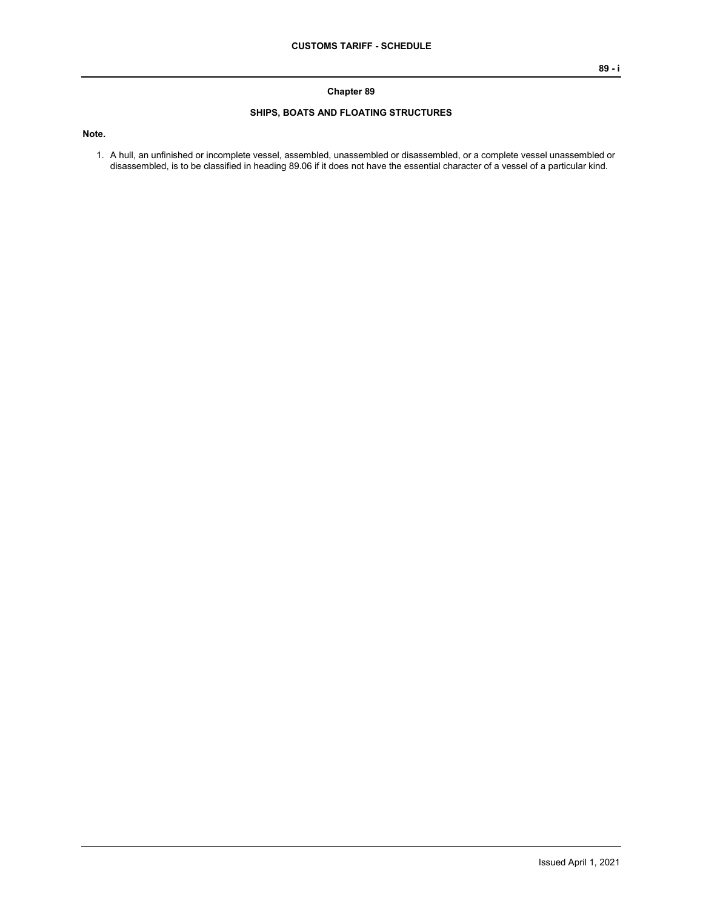## **Chapter 89**

## **SHIPS, BOATS AND FLOATING STRUCTURES**

**Note.**

1. A hull, an unfinished or incomplete vessel, assembled, unassembled or disassembled, or a complete vessel unassembled or disassembled, is to be classified in heading 89.06 if it does not have the essential character of a vessel of a particular kind.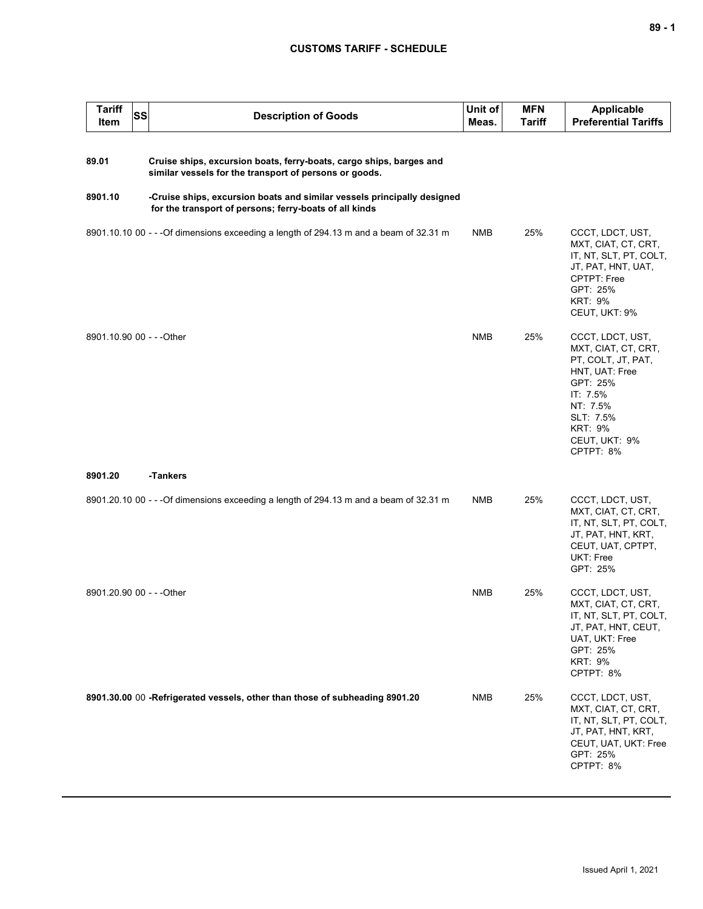## **CUSTOMS TARIFF - SCHEDULE**

| <b>Tariff</b><br><b>Item</b> | <b>SS</b> | <b>Description of Goods</b>                                                                                                       | Unit of<br>Meas. | <b>MFN</b><br><b>Tariff</b> | <b>Applicable</b><br><b>Preferential Tariffs</b>                                                                                                                                 |
|------------------------------|-----------|-----------------------------------------------------------------------------------------------------------------------------------|------------------|-----------------------------|----------------------------------------------------------------------------------------------------------------------------------------------------------------------------------|
| 89.01                        |           | Cruise ships, excursion boats, ferry-boats, cargo ships, barges and<br>similar vessels for the transport of persons or goods.     |                  |                             |                                                                                                                                                                                  |
| 8901.10                      |           | -Cruise ships, excursion boats and similar vessels principally designed<br>for the transport of persons; ferry-boats of all kinds |                  |                             |                                                                                                                                                                                  |
|                              |           | 8901.10.10 00 - - - Of dimensions exceeding a length of 294.13 m and a beam of 32.31 m                                            | <b>NMB</b>       | 25%                         | CCCT, LDCT, UST,<br>MXT, CIAT, CT, CRT,<br>IT, NT, SLT, PT, COLT,<br>JT, PAT, HNT, UAT,<br>CPTPT: Free<br>GPT: 25%<br><b>KRT: 9%</b><br>CEUT, UKT: 9%                            |
| 8901.10.90 00 - - - Other    |           |                                                                                                                                   | <b>NMB</b>       | 25%                         | CCCT, LDCT, UST,<br>MXT, CIAT, CT, CRT,<br>PT, COLT, JT, PAT,<br>HNT, UAT: Free<br>GPT: 25%<br>IT: 7.5%<br>NT: 7.5%<br>SLT: 7.5%<br><b>KRT: 9%</b><br>CEUT, UKT: 9%<br>CPTPT: 8% |
| 8901.20                      |           | -Tankers                                                                                                                          |                  |                             |                                                                                                                                                                                  |
|                              |           | 8901.20.10 00 - - - Of dimensions exceeding a length of 294.13 m and a beam of 32.31 m                                            | <b>NMB</b>       | 25%                         | CCCT, LDCT, UST,<br>MXT, CIAT, CT, CRT,<br>IT, NT, SLT, PT, COLT,<br>JT, PAT, HNT, KRT,<br>CEUT, UAT, CPTPT,<br>UKT: Free<br>GPT: 25%                                            |
| 8901.20.90 00 - - - Other    |           |                                                                                                                                   | <b>NMB</b>       | 25%                         | CCCT, LDCT, UST,<br>MXT, CIAT, CT, CRT,<br>IT, NT, SLT, PT, COLT,<br>JT, PAT, HNT, CEUT,<br>UAT, UKT: Free<br>GPT: 25%<br><b>KRT: 9%</b><br>CPTPT: 8%                            |
|                              |           | 8901.30.00 00 -Refrigerated vessels, other than those of subheading 8901.20                                                       | <b>NMB</b>       | 25%                         | CCCT, LDCT, UST,<br>MXT, CIAT, CT, CRT,<br>IT, NT, SLT, PT, COLT,<br>JT, PAT, HNT, KRT,<br>CEUT, UAT, UKT: Free<br>GPT: 25%<br>CPTPT: 8%                                         |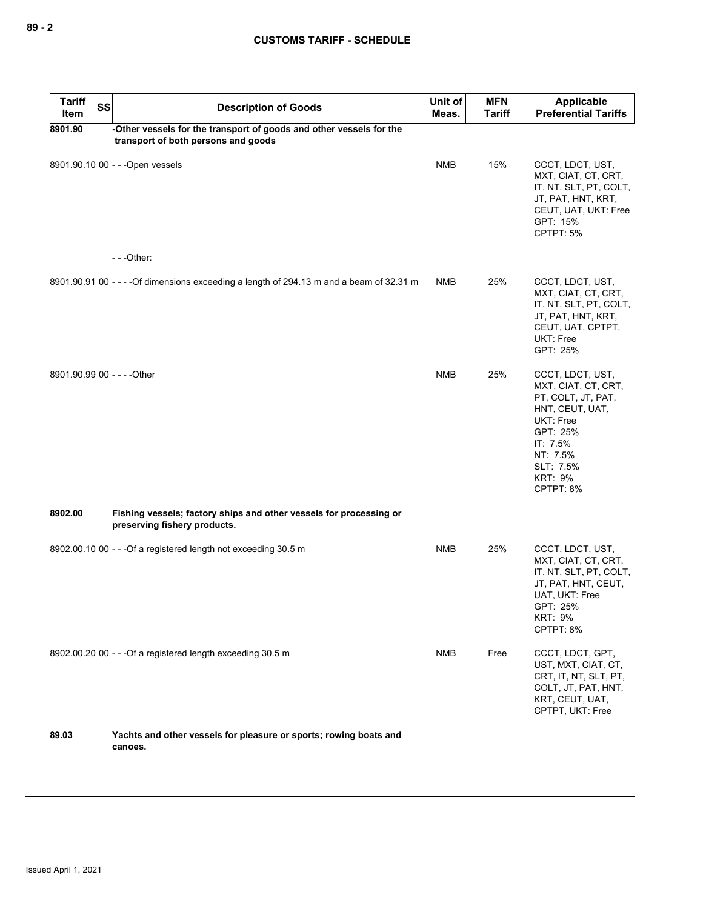| <b>Tariff</b><br>Item       | <b>SS</b> | <b>Description of Goods</b>                                                                                | Unit of<br>Meas. | <b>MFN</b><br><b>Tariff</b> | Applicable<br><b>Preferential Tariffs</b>                                                                                                                                     |
|-----------------------------|-----------|------------------------------------------------------------------------------------------------------------|------------------|-----------------------------|-------------------------------------------------------------------------------------------------------------------------------------------------------------------------------|
| 8901.90                     |           | -Other vessels for the transport of goods and other vessels for the<br>transport of both persons and goods |                  |                             |                                                                                                                                                                               |
|                             |           | 8901.90.10 00 - - - Open vessels                                                                           | <b>NMB</b>       | 15%                         | CCCT, LDCT, UST,<br>MXT, CIAT, CT, CRT,<br>IT, NT, SLT, PT, COLT,<br>JT, PAT, HNT, KRT,<br>CEUT, UAT, UKT: Free<br>GPT: 15%<br>CPTPT: 5%                                      |
|                             |           | $--$ Other:                                                                                                |                  |                             |                                                                                                                                                                               |
|                             |           | 8901.90.91 00 - - - - Of dimensions exceeding a length of 294.13 m and a beam of 32.31 m                   | <b>NMB</b>       | 25%                         | CCCT, LDCT, UST,<br>MXT, CIAT, CT, CRT,<br>IT, NT, SLT, PT, COLT,<br>JT, PAT, HNT, KRT,<br>CEUT, UAT, CPTPT,<br>UKT: Free<br>GPT: 25%                                         |
| 8901.90.99 00 - - - - Other |           |                                                                                                            | <b>NMB</b>       | 25%                         | CCCT, LDCT, UST,<br>MXT, CIAT, CT, CRT,<br>PT, COLT, JT, PAT,<br>HNT, CEUT, UAT,<br>UKT: Free<br>GPT: 25%<br>IT: 7.5%<br>NT: 7.5%<br>SLT: 7.5%<br><b>KRT: 9%</b><br>CPTPT: 8% |
| 8902.00                     |           | Fishing vessels; factory ships and other vessels for processing or<br>preserving fishery products.         |                  |                             |                                                                                                                                                                               |
|                             |           | 8902.00.10 00 - - - Of a registered length not exceeding 30.5 m                                            | <b>NMB</b>       | 25%                         | CCCT, LDCT, UST,<br>MXT, CIAT, CT, CRT,<br>IT, NT, SLT, PT, COLT,<br>JT, PAT, HNT, CEUT,<br>UAT, UKT: Free<br>GPT: 25%<br><b>KRT: 9%</b><br>CPTPT: 8%                         |
|                             |           | 8902.00.20 00 - - - Of a registered length exceeding 30.5 m                                                | <b>NMB</b>       | Free                        | CCCT, LDCT, GPT,<br>UST, MXT, CIAT, CT,<br>CRT, IT, NT, SLT, PT,<br>COLT, JT, PAT, HNT,<br>KRT, CEUT, UAT,<br>CPTPT, UKT: Free                                                |
| 89.03                       |           | Yachts and other vessels for pleasure or sports; rowing boats and<br>canoes.                               |                  |                             |                                                                                                                                                                               |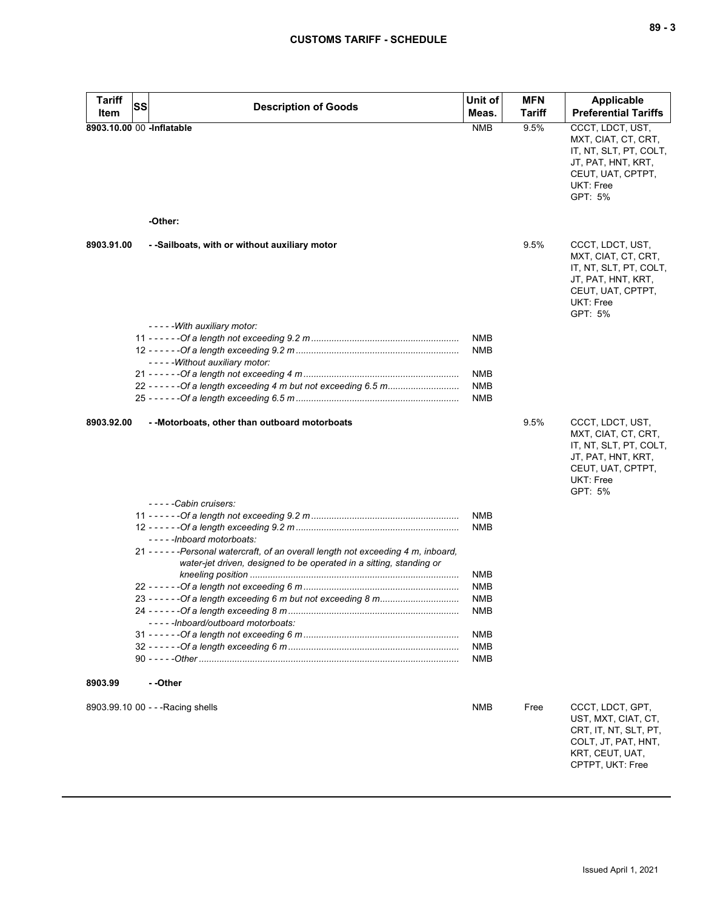| <b>Tariff</b>             | <b>SS</b> | <b>Description of Goods</b>                                                                                      | Unit of                  | <b>MFN</b>    | <b>Applicable</b>                                                                                                                           |
|---------------------------|-----------|------------------------------------------------------------------------------------------------------------------|--------------------------|---------------|---------------------------------------------------------------------------------------------------------------------------------------------|
| Item                      |           |                                                                                                                  | Meas.                    | <b>Tariff</b> | <b>Preferential Tariffs</b>                                                                                                                 |
| 8903.10.00 00 -Inflatable |           | -Other:                                                                                                          | <b>NMB</b>               | 9.5%          | CCCT, LDCT, UST,<br>MXT, CIAT, CT, CRT,<br>IT, NT, SLT, PT, COLT,<br>JT, PAT, HNT, KRT,<br>CEUT, UAT, CPTPT,<br><b>UKT: Free</b><br>GPT: 5% |
|                           |           |                                                                                                                  |                          |               |                                                                                                                                             |
| 8903.91.00                |           | - -Sailboats, with or without auxiliary motor                                                                    |                          | 9.5%          | CCCT, LDCT, UST,<br>MXT, CIAT, CT, CRT,<br>IT, NT, SLT, PT, COLT,<br>JT, PAT, HNT, KRT,<br>CEUT, UAT, CPTPT,<br><b>UKT: Free</b><br>GPT: 5% |
|                           |           | ----- With auxiliary motor:                                                                                      | <b>NMB</b>               |               |                                                                                                                                             |
|                           |           | - - - - - Without auxiliary motor:                                                                               | <b>NMB</b>               |               |                                                                                                                                             |
|                           |           |                                                                                                                  | <b>NMB</b>               |               |                                                                                                                                             |
|                           |           |                                                                                                                  | <b>NMB</b><br><b>NMB</b> |               |                                                                                                                                             |
| 8903.92.00                |           | - - Motorboats, other than outboard motorboats<br>-----Cabin cruisers:                                           |                          | 9.5%          | CCCT, LDCT, UST,<br>MXT, CIAT, CT, CRT,<br>IT, NT, SLT, PT, COLT,<br>JT, PAT, HNT, KRT,<br>CEUT, UAT, CPTPT,<br><b>UKT: Free</b><br>GPT: 5% |
|                           |           |                                                                                                                  | <b>NMB</b>               |               |                                                                                                                                             |
|                           |           |                                                                                                                  | <b>NMB</b>               |               |                                                                                                                                             |
|                           |           | -----Inboard motorboats:<br>21 - - - - - - Personal watercraft, of an overall length not exceeding 4 m, inboard, |                          |               |                                                                                                                                             |
|                           |           | water-jet driven, designed to be operated in a sitting, standing or                                              | <b>NMB</b>               |               |                                                                                                                                             |
|                           |           |                                                                                                                  | <b>NMB</b>               |               |                                                                                                                                             |
|                           |           |                                                                                                                  | <b>NMB</b>               |               |                                                                                                                                             |
|                           |           |                                                                                                                  | <b>NMB</b>               |               |                                                                                                                                             |
|                           |           | -----Inboard/outboard motorboats:                                                                                |                          |               |                                                                                                                                             |
|                           |           |                                                                                                                  | <b>NMB</b>               |               |                                                                                                                                             |
|                           |           |                                                                                                                  | <b>NMB</b><br><b>NMB</b> |               |                                                                                                                                             |
| 8903.99                   |           | - -Other                                                                                                         |                          |               |                                                                                                                                             |
|                           |           | 8903.99.10 00 - - - Racing shells                                                                                | <b>NMB</b>               | Free          | CCCT, LDCT, GPT,<br>UST, MXT, CIAT, CT,<br>CRT, IT, NT, SLT, PT,<br>COLT, JT, PAT, HNT,<br>KRT, CEUT, UAT,<br>CPTPT, UKT: Free              |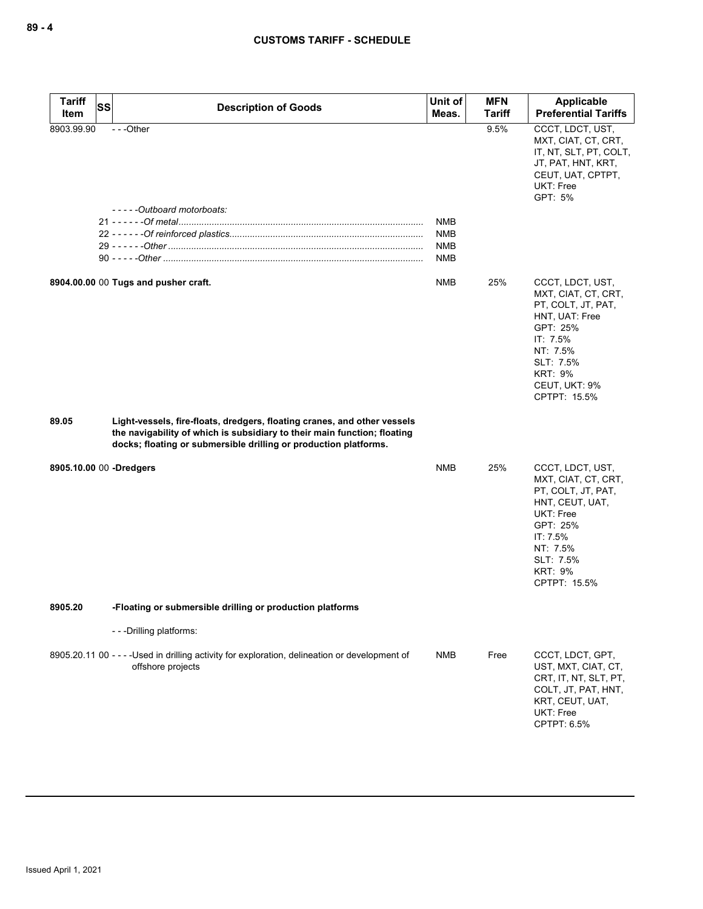| <b>Tariff</b><br>Item   | SS | <b>Description of Goods</b>                                                                                                                                                                                              | Unit of<br>Meas.                              | <b>MFN</b><br><b>Tariff</b> | Applicable<br><b>Preferential Tariffs</b>                                                                                                                                           |
|-------------------------|----|--------------------------------------------------------------------------------------------------------------------------------------------------------------------------------------------------------------------------|-----------------------------------------------|-----------------------------|-------------------------------------------------------------------------------------------------------------------------------------------------------------------------------------|
| 8903.99.90              |    | $- -$ Other                                                                                                                                                                                                              |                                               | 9.5%                        | CCCT, LDCT, UST,<br>MXT, CIAT, CT, CRT,<br>IT, NT, SLT, PT, COLT,<br>JT, PAT, HNT, KRT,<br>CEUT, UAT, CPTPT,<br>UKT: Free<br>GPT: 5%                                                |
|                         |    | -----Outboard motorboats:                                                                                                                                                                                                | <b>NMB</b><br><b>NMB</b><br><b>NMB</b><br>NMB |                             |                                                                                                                                                                                     |
|                         |    | 8904.00.00 00 Tugs and pusher craft.                                                                                                                                                                                     | <b>NMB</b>                                    | 25%                         | CCCT, LDCT, UST,<br>MXT, CIAT, CT, CRT,<br>PT, COLT, JT, PAT,<br>HNT, UAT: Free<br>GPT: 25%<br>IT: 7.5%<br>NT: 7.5%<br>SLT: 7.5%<br><b>KRT: 9%</b><br>CEUT, UKT: 9%<br>CPTPT: 15.5% |
| 89.05                   |    | Light-vessels, fire-floats, dredgers, floating cranes, and other vessels<br>the navigability of which is subsidiary to their main function; floating<br>docks; floating or submersible drilling or production platforms. |                                               |                             |                                                                                                                                                                                     |
| 8905.10.00 00 -Dredgers |    |                                                                                                                                                                                                                          | <b>NMB</b>                                    | 25%                         | CCCT, LDCT, UST,<br>MXT, CIAT, CT, CRT,<br>PT, COLT, JT, PAT,<br>HNT, CEUT, UAT,<br>UKT: Free<br>GPT: 25%<br>IT: 7.5%<br>NT: 7.5%<br>SLT: 7.5%<br><b>KRT: 9%</b><br>CPTPT: 15.5%    |
| 8905.20                 |    | -Floating or submersible drilling or production platforms                                                                                                                                                                |                                               |                             |                                                                                                                                                                                     |
|                         |    | ---Drilling platforms:                                                                                                                                                                                                   |                                               |                             |                                                                                                                                                                                     |
|                         |    | 8905.20.11 00 - - - - Used in drilling activity for exploration, delineation or development of<br>offshore projects                                                                                                      | <b>NMB</b>                                    | Free                        | CCCT, LDCT, GPT,<br>UST, MXT, CIAT, CT,<br>CRT, IT, NT, SLT, PT,<br>COLT, JT, PAT, HNT,<br>KRT, CEUT, UAT,<br>UKT: Free<br>CPTPT: 6.5%                                              |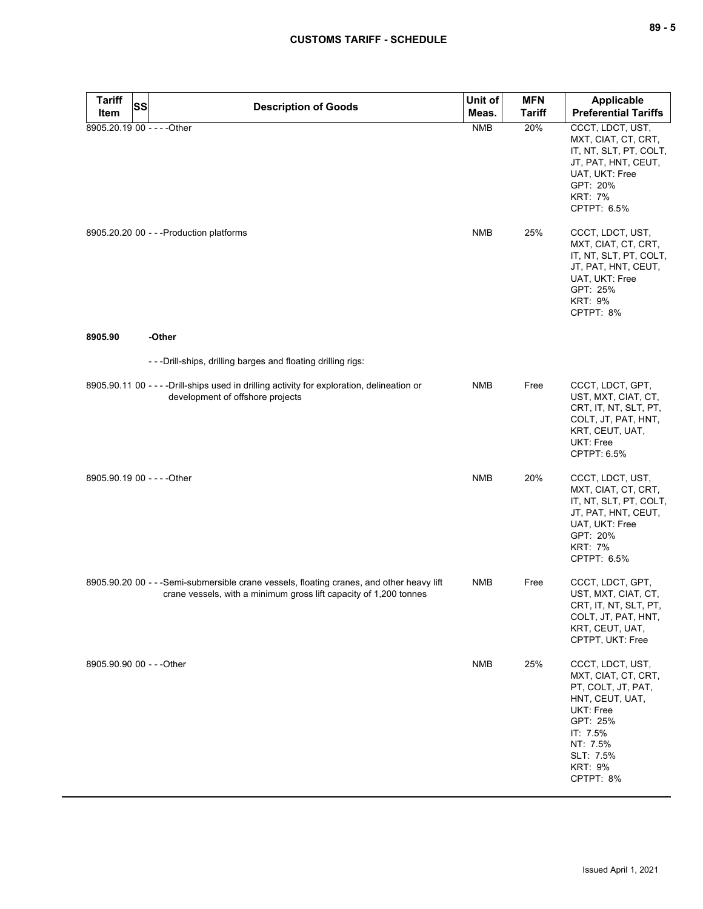| $\overline{\phantom{a}}$<br>$\sim$ |  | -<br>۰. |
|------------------------------------|--|---------|
|------------------------------------|--|---------|

| <b>Tariff</b>               | SS | <b>Description of Goods</b>                                                                                                                                   | Unit of    | <b>MFN</b>    | Applicable                                                                                                                                                                    |
|-----------------------------|----|---------------------------------------------------------------------------------------------------------------------------------------------------------------|------------|---------------|-------------------------------------------------------------------------------------------------------------------------------------------------------------------------------|
| Item                        |    |                                                                                                                                                               | Meas.      | <b>Tariff</b> | <b>Preferential Tariffs</b>                                                                                                                                                   |
| 8905.20.19 00 - - - - Other |    |                                                                                                                                                               | <b>NMB</b> | 20%           | CCCT, LDCT, UST,<br>MXT, CIAT, CT, CRT,<br>IT, NT, SLT, PT, COLT,<br>JT, PAT, HNT, CEUT,<br>UAT, UKT: Free<br>GPT: 20%<br><b>KRT: 7%</b><br>CPTPT: 6.5%                       |
|                             |    | 8905.20.20 00 - - - Production platforms                                                                                                                      | <b>NMB</b> | 25%           | CCCT, LDCT, UST,<br>MXT, CIAT, CT, CRT,<br>IT, NT, SLT, PT, COLT,<br>JT, PAT, HNT, CEUT,<br>UAT, UKT: Free<br>GPT: 25%<br><b>KRT: 9%</b><br>CPTPT: 8%                         |
| 8905.90                     |    | -Other                                                                                                                                                        |            |               |                                                                                                                                                                               |
|                             |    | - - - Drill-ships, drilling barges and floating drilling rigs:                                                                                                |            |               |                                                                                                                                                                               |
|                             |    | 8905.90.11 00 - - - - Drill-ships used in drilling activity for exploration, delineation or<br>development of offshore projects                               | <b>NMB</b> | Free          | CCCT, LDCT, GPT,<br>UST, MXT, CIAT, CT,<br>CRT, IT, NT, SLT, PT,<br>COLT, JT, PAT, HNT,<br>KRT, CEUT, UAT,<br>UKT: Free<br>CPTPT: 6.5%                                        |
| 8905.90.19 00 - - - - Other |    |                                                                                                                                                               | <b>NMB</b> | 20%           | CCCT, LDCT, UST,<br>MXT, CIAT, CT, CRT,<br>IT, NT, SLT, PT, COLT,<br>JT, PAT, HNT, CEUT,<br>UAT, UKT: Free<br>GPT: 20%<br><b>KRT: 7%</b><br>CPTPT: 6.5%                       |
|                             |    | 8905.90.20 00 - - -Semi-submersible crane vessels, floating cranes, and other heavy lift<br>crane vessels, with a minimum gross lift capacity of 1,200 tonnes | NMB        | Free          | CCCT, LDCT, GPT,<br>UST, MXT, CIAT, CT,<br>CRT, IT, NT, SLT, PT,<br>COLT, JT, PAT, HNT,<br>KRT, CEUT, UAT,<br>CPTPT, UKT: Free                                                |
| 8905.90.90 00 - - - Other   |    |                                                                                                                                                               | <b>NMB</b> | 25%           | CCCT, LDCT, UST,<br>MXT, CIAT, CT, CRT,<br>PT, COLT, JT, PAT,<br>HNT, CEUT, UAT,<br>UKT: Free<br>GPT: 25%<br>IT: 7.5%<br>NT: 7.5%<br>SLT: 7.5%<br><b>KRT: 9%</b><br>CPTPT: 8% |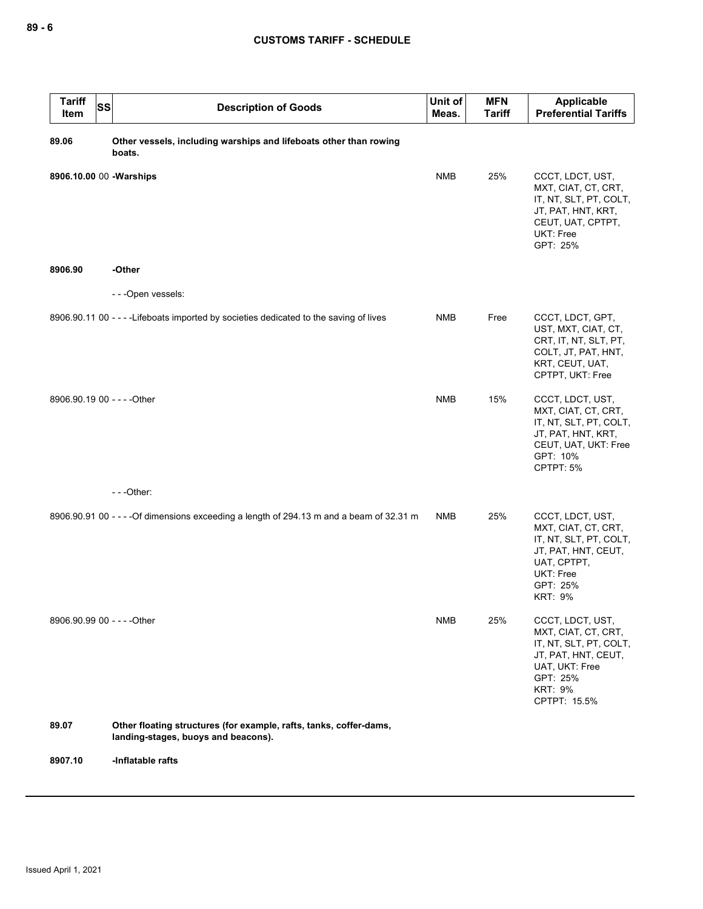| <b>Tariff</b><br><b>SS</b><br>Item | <b>Description of Goods</b>                                                                               | Unit of<br>Meas. | <b>MFN</b><br><b>Tariff</b> | Applicable<br><b>Preferential Tariffs</b>                                                                                                                |
|------------------------------------|-----------------------------------------------------------------------------------------------------------|------------------|-----------------------------|----------------------------------------------------------------------------------------------------------------------------------------------------------|
| 89.06                              | Other vessels, including warships and lifeboats other than rowing<br>boats.                               |                  |                             |                                                                                                                                                          |
| 8906.10.00 00 - Warships           |                                                                                                           | <b>NMB</b>       | 25%                         | CCCT, LDCT, UST,<br>MXT, CIAT, CT, CRT,<br>IT, NT, SLT, PT, COLT,<br>JT, PAT, HNT, KRT,<br>CEUT, UAT, CPTPT,<br>UKT: Free<br>GPT: 25%                    |
| 8906.90                            | -Other                                                                                                    |                  |                             |                                                                                                                                                          |
|                                    | - - - Open vessels:                                                                                       |                  |                             |                                                                                                                                                          |
|                                    | 8906.90.11 00 - - - - Lifeboats imported by societies dedicated to the saving of lives                    | <b>NMB</b>       | Free                        | CCCT, LDCT, GPT,<br>UST, MXT, CIAT, CT,<br>CRT, IT, NT, SLT, PT,<br>COLT, JT, PAT, HNT,<br>KRT, CEUT, UAT,<br>CPTPT, UKT: Free                           |
| 8906.90.19 00 - - - - Other        |                                                                                                           | <b>NMB</b>       | 15%                         | CCCT, LDCT, UST,<br>MXT, CIAT, CT, CRT,<br>IT, NT, SLT, PT, COLT,<br>JT, PAT, HNT, KRT,<br>CEUT, UAT, UKT: Free<br>GPT: 10%<br>CPTPT: 5%                 |
|                                    | $--$ Other:                                                                                               |                  |                             |                                                                                                                                                          |
|                                    | 8906.90.91 00 - - - - Of dimensions exceeding a length of 294.13 m and a beam of 32.31 m                  | <b>NMB</b>       | 25%                         | CCCT, LDCT, UST,<br>MXT, CIAT, CT, CRT,<br>IT, NT, SLT, PT, COLT,<br>JT, PAT, HNT, CEUT,<br>UAT, CPTPT,<br>UKT: Free<br>GPT: 25%<br><b>KRT: 9%</b>       |
| 8906.90.99 00 - - - - Other        |                                                                                                           | <b>NMB</b>       | 25%                         | CCCT, LDCT, UST,<br>MXT, CIAT, CT, CRT,<br>IT, NT, SLT, PT, COLT,<br>JT, PAT, HNT, CEUT,<br>UAT, UKT: Free<br>GPT: 25%<br><b>KRT: 9%</b><br>CPTPT: 15.5% |
| 89.07                              | Other floating structures (for example, rafts, tanks, coffer-dams,<br>landing-stages, buoys and beacons). |                  |                             |                                                                                                                                                          |
| 8907.10                            | -Inflatable rafts                                                                                         |                  |                             |                                                                                                                                                          |